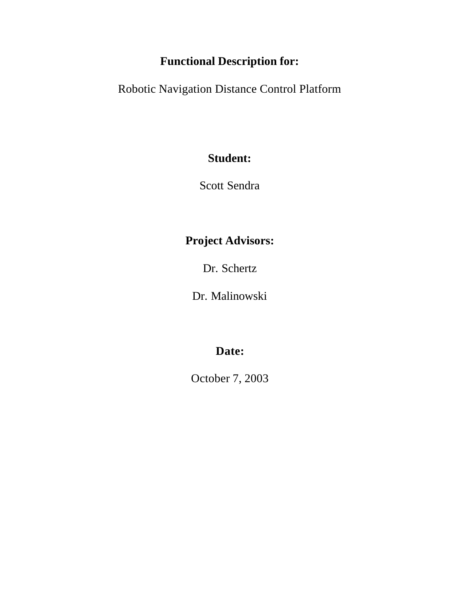# **Functional Description for:**

Robotic Navigation Distance Control Platform

## **Student:**

Scott Sendra

## **Project Advisors:**

Dr. Schertz

Dr. Malinowski

# **Date:**

October 7, 2003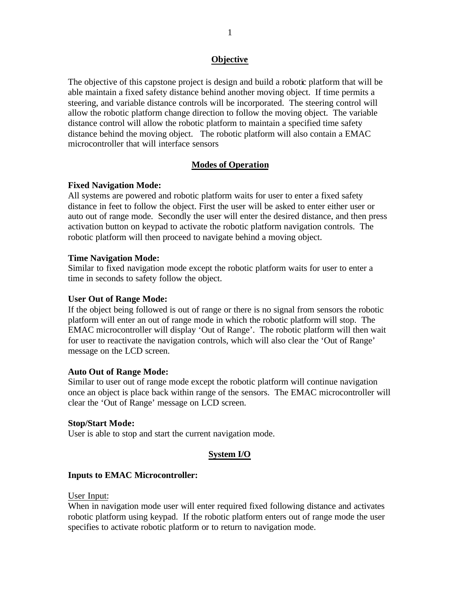## **Objective**

The objective of this capstone project is design and build a robotic platform that will be able maintain a fixed safety distance behind another moving object. If time permits a steering, and variable distance controls will be incorporated. The steering control will allow the robotic platform change direction to follow the moving object. The variable distance control will allow the robotic platform to maintain a specified time safety distance behind the moving object. The robotic platform will also contain a EMAC microcontroller that will interface sensors

## **Modes of Operation**

#### **Fixed Navigation Mode:**

All systems are powered and robotic platform waits for user to enter a fixed safety distance in feet to follow the object. First the user will be asked to enter either user or auto out of range mode. Secondly the user will enter the desired distance, and then press activation button on keypad to activate the robotic platform navigation controls. The robotic platform will then proceed to navigate behind a moving object.

#### **Time Navigation Mode:**

Similar to fixed navigation mode except the robotic platform waits for user to enter a time in seconds to safety follow the object.

#### **User Out of Range Mode:**

If the object being followed is out of range or there is no signal from sensors the robotic platform will enter an out of range mode in which the robotic platform will stop. The EMAC microcontroller will display 'Out of Range'. The robotic platform will then wait for user to reactivate the navigation controls, which will also clear the 'Out of Range' message on the LCD screen.

#### **Auto Out of Range Mode:**

Similar to user out of range mode except the robotic platform will continue navigation once an object is place back within range of the sensors. The EMAC microcontroller will clear the 'Out of Range' message on LCD screen.

#### **Stop/Start Mode:**

User is able to stop and start the current navigation mode.

#### **System I/O**

#### **Inputs to EMAC Microcontroller:**

#### User Input:

When in navigation mode user will enter required fixed following distance and activates robotic platform using keypad. If the robotic platform enters out of range mode the user specifies to activate robotic platform or to return to navigation mode.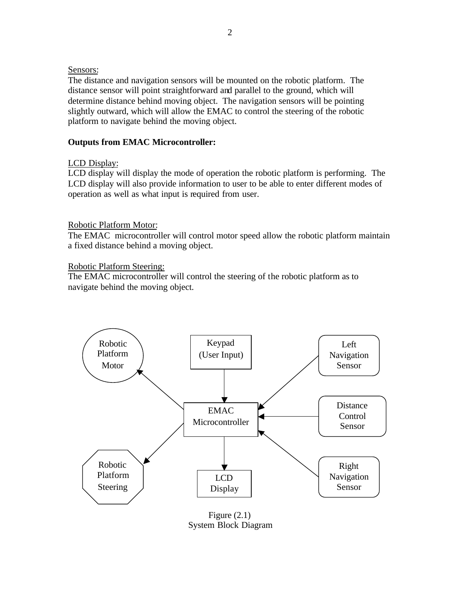### Sensors:

The distance and navigation sensors will be mounted on the robotic platform. The distance sensor will point straightforward and parallel to the ground, which will determine distance behind moving object. The navigation sensors will be pointing slightly outward, which will allow the EMAC to control the steering of the robotic platform to navigate behind the moving object.

## **Outputs from EMAC Microcontroller:**

## LCD Display:

LCD display will display the mode of operation the robotic platform is performing. The LCD display will also provide information to user to be able to enter different modes of operation as well as what input is required from user.

## Robotic Platform Motor:

The EMAC microcontroller will control motor speed allow the robotic platform maintain a fixed distance behind a moving object.

## Robotic Platform Steering:

The EMAC microcontroller will control the steering of the robotic platform as to navigate behind the moving object.



Figure (2.1) System Block Diagram